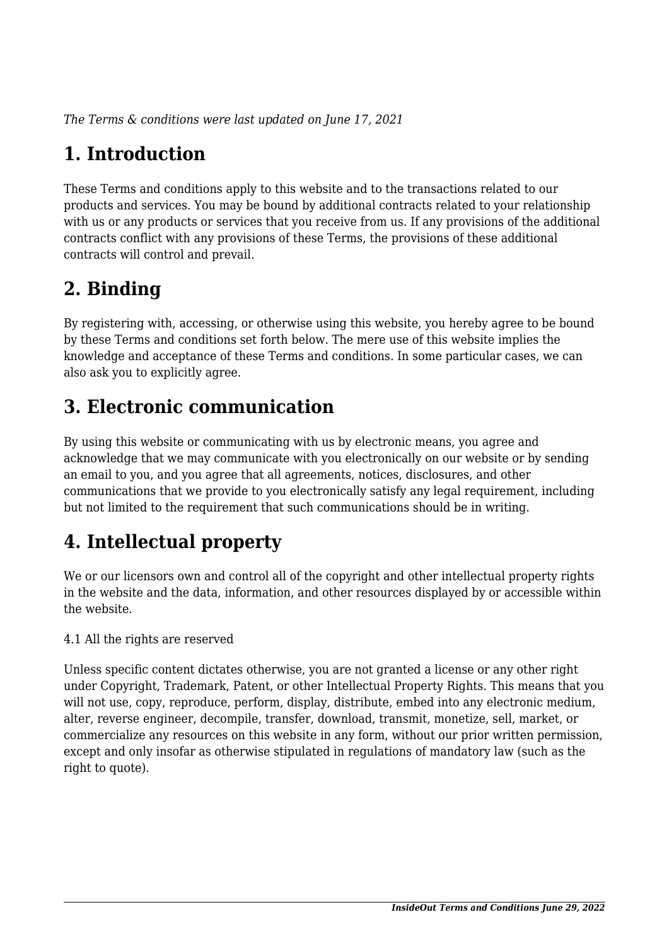*The Terms & conditions were last updated on June 17, 2021*

## **1. Introduction**

These Terms and conditions apply to this website and to the transactions related to our products and services. You may be bound by additional contracts related to your relationship with us or any products or services that you receive from us. If any provisions of the additional contracts conflict with any provisions of these Terms, the provisions of these additional contracts will control and prevail.

## **2. Binding**

By registering with, accessing, or otherwise using this website, you hereby agree to be bound by these Terms and conditions set forth below. The mere use of this website implies the knowledge and acceptance of these Terms and conditions. In some particular cases, we can also ask you to explicitly agree.

## **3. Electronic communication**

By using this website or communicating with us by electronic means, you agree and acknowledge that we may communicate with you electronically on our website or by sending an email to you, and you agree that all agreements, notices, disclosures, and other communications that we provide to you electronically satisfy any legal requirement, including but not limited to the requirement that such communications should be in writing.

## **4. Intellectual property**

We or our licensors own and control all of the copyright and other intellectual property rights in the website and the data, information, and other resources displayed by or accessible within the website.

4.1 All the rights are reserved

Unless specific content dictates otherwise, you are not granted a license or any other right under Copyright, Trademark, Patent, or other Intellectual Property Rights. This means that you will not use, copy, reproduce, perform, display, distribute, embed into any electronic medium, alter, reverse engineer, decompile, transfer, download, transmit, monetize, sell, market, or commercialize any resources on this website in any form, without our prior written permission, except and only insofar as otherwise stipulated in regulations of mandatory law (such as the right to quote).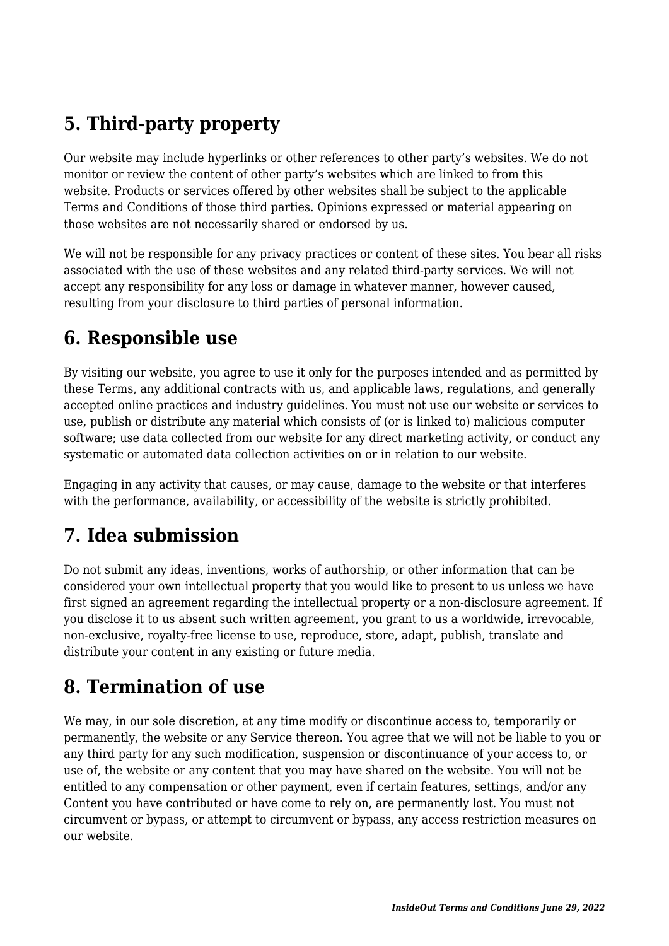## **5. Third-party property**

Our website may include hyperlinks or other references to other party's websites. We do not monitor or review the content of other party's websites which are linked to from this website. Products or services offered by other websites shall be subject to the applicable Terms and Conditions of those third parties. Opinions expressed or material appearing on those websites are not necessarily shared or endorsed by us.

We will not be responsible for any privacy practices or content of these sites. You bear all risks associated with the use of these websites and any related third-party services. We will not accept any responsibility for any loss or damage in whatever manner, however caused, resulting from your disclosure to third parties of personal information.

#### **6. Responsible use**

By visiting our website, you agree to use it only for the purposes intended and as permitted by these Terms, any additional contracts with us, and applicable laws, regulations, and generally accepted online practices and industry guidelines. You must not use our website or services to use, publish or distribute any material which consists of (or is linked to) malicious computer software; use data collected from our website for any direct marketing activity, or conduct any systematic or automated data collection activities on or in relation to our website.

Engaging in any activity that causes, or may cause, damage to the website or that interferes with the performance, availability, or accessibility of the website is strictly prohibited.

## **7. Idea submission**

Do not submit any ideas, inventions, works of authorship, or other information that can be considered your own intellectual property that you would like to present to us unless we have first signed an agreement regarding the intellectual property or a non-disclosure agreement. If you disclose it to us absent such written agreement, you grant to us a worldwide, irrevocable, non-exclusive, royalty-free license to use, reproduce, store, adapt, publish, translate and distribute your content in any existing or future media.

#### **8. Termination of use**

We may, in our sole discretion, at any time modify or discontinue access to, temporarily or permanently, the website or any Service thereon. You agree that we will not be liable to you or any third party for any such modification, suspension or discontinuance of your access to, or use of, the website or any content that you may have shared on the website. You will not be entitled to any compensation or other payment, even if certain features, settings, and/or any Content you have contributed or have come to rely on, are permanently lost. You must not circumvent or bypass, or attempt to circumvent or bypass, any access restriction measures on our website.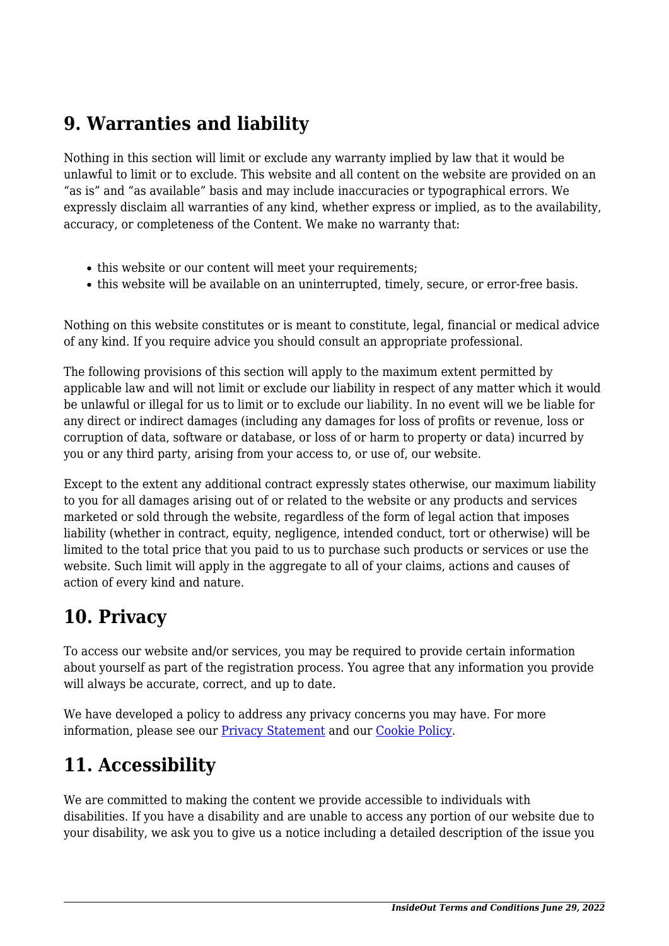#### **9. Warranties and liability**

Nothing in this section will limit or exclude any warranty implied by law that it would be unlawful to limit or to exclude. This website and all content on the website are provided on an "as is" and "as available" basis and may include inaccuracies or typographical errors. We expressly disclaim all warranties of any kind, whether express or implied, as to the availability, accuracy, or completeness of the Content. We make no warranty that:

- this website or our content will meet your requirements;
- this website will be available on an uninterrupted, timely, secure, or error-free basis.

Nothing on this website constitutes or is meant to constitute, legal, financial or medical advice of any kind. If you require advice you should consult an appropriate professional.

The following provisions of this section will apply to the maximum extent permitted by applicable law and will not limit or exclude our liability in respect of any matter which it would be unlawful or illegal for us to limit or to exclude our liability. In no event will we be liable for any direct or indirect damages (including any damages for loss of profits or revenue, loss or corruption of data, software or database, or loss of or harm to property or data) incurred by you or any third party, arising from your access to, or use of, our website.

Except to the extent any additional contract expressly states otherwise, our maximum liability to you for all damages arising out of or related to the website or any products and services marketed or sold through the website, regardless of the form of legal action that imposes liability (whether in contract, equity, negligence, intended conduct, tort or otherwise) will be limited to the total price that you paid to us to purchase such products or services or use the website. Such limit will apply in the aggregate to all of your claims, actions and causes of action of every kind and nature.

#### **10. Privacy**

To access our website and/or services, you may be required to provide certain information about yourself as part of the registration process. You agree that any information you provide will always be accurate, correct, and up to date.

We have developed a policy to address any privacy concerns you may have. For more information, please see our **Privacy Statement** and our [Cookie Policy](https://insideoutlab.com/cookie-policy-us/).

## **11. Accessibility**

We are committed to making the content we provide accessible to individuals with disabilities. If you have a disability and are unable to access any portion of our website due to your disability, we ask you to give us a notice including a detailed description of the issue you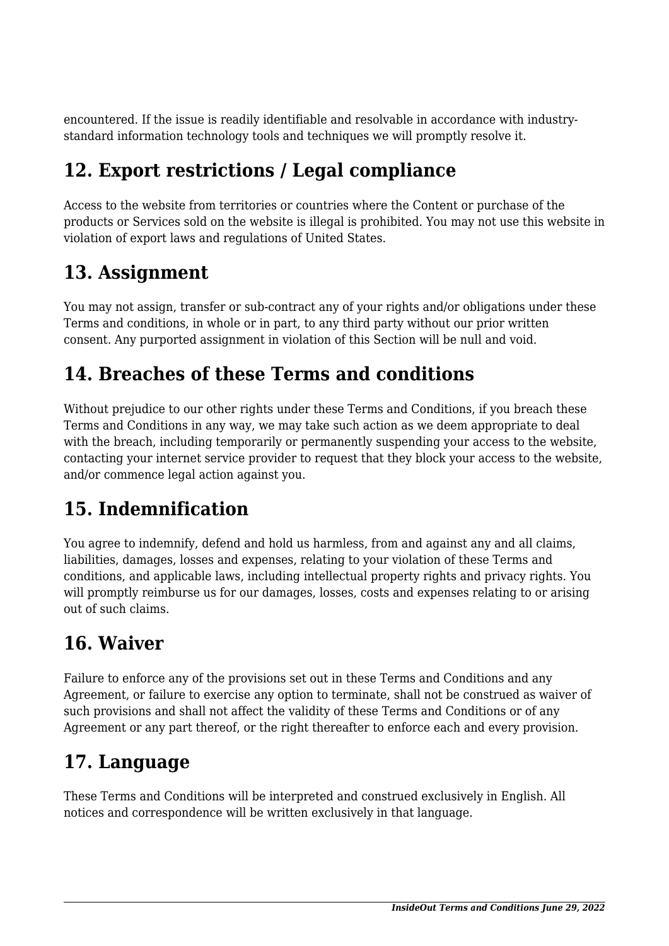encountered. If the issue is readily identifiable and resolvable in accordance with industrystandard information technology tools and techniques we will promptly resolve it.

## **12. Export restrictions / Legal compliance**

Access to the website from territories or countries where the Content or purchase of the products or Services sold on the website is illegal is prohibited. You may not use this website in violation of export laws and regulations of United States.

## **13. Assignment**

You may not assign, transfer or sub-contract any of your rights and/or obligations under these Terms and conditions, in whole or in part, to any third party without our prior written consent. Any purported assignment in violation of this Section will be null and void.

### **14. Breaches of these Terms and conditions**

Without prejudice to our other rights under these Terms and Conditions, if you breach these Terms and Conditions in any way, we may take such action as we deem appropriate to deal with the breach, including temporarily or permanently suspending your access to the website, contacting your internet service provider to request that they block your access to the website, and/or commence legal action against you.

# **15. Indemnification**

You agree to indemnify, defend and hold us harmless, from and against any and all claims, liabilities, damages, losses and expenses, relating to your violation of these Terms and conditions, and applicable laws, including intellectual property rights and privacy rights. You will promptly reimburse us for our damages, losses, costs and expenses relating to or arising out of such claims.

## **16. Waiver**

Failure to enforce any of the provisions set out in these Terms and Conditions and any Agreement, or failure to exercise any option to terminate, shall not be construed as waiver of such provisions and shall not affect the validity of these Terms and Conditions or of any Agreement or any part thereof, or the right thereafter to enforce each and every provision.

## **17. Language**

These Terms and Conditions will be interpreted and construed exclusively in English. All notices and correspondence will be written exclusively in that language.